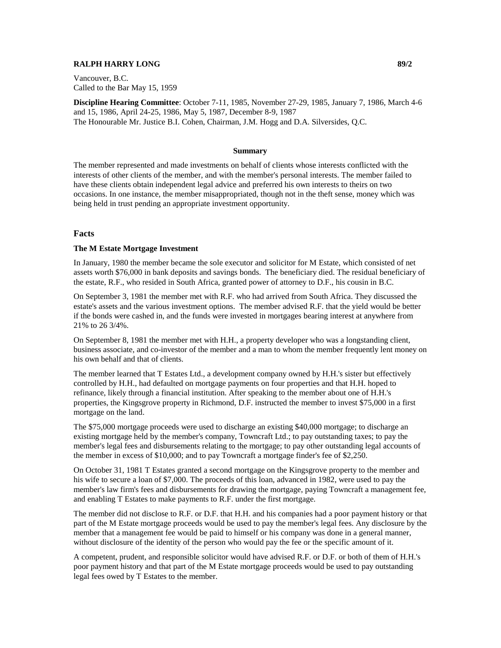## **RALPH HARRY LONG 89/2**

Vancouver, B.C. Called to the Bar May 15, 1959

**Discipline Hearing Committee**: October 7-11, 1985, November 27-29, 1985, January 7, 1986, March 4-6 and 15, 1986, April 24-25, 1986, May 5, 1987, December 8-9, 1987 The Honourable Mr. Justice B.I. Cohen, Chairman, J.M. Hogg and D.A. Silversides, Q.C.

#### **Summary**

The member represented and made investments on behalf of clients whose interests conflicted with the interests of other clients of the member, and with the member's personal interests. The member failed to have these clients obtain independent legal advice and preferred his own interests to theirs on two occasions. In one instance, the member misappropriated, though not in the theft sense, money which was being held in trust pending an appropriate investment opportunity.

#### **Facts**

#### **The M Estate Mortgage Investment**

In January, 1980 the member became the sole executor and solicitor for M Estate, which consisted of net assets worth \$76,000 in bank deposits and savings bonds. The beneficiary died. The residual beneficiary of the estate, R.F., who resided in South Africa, granted power of attorney to D.F., his cousin in B.C.

On September 3, 1981 the member met with R.F. who had arrived from South Africa. They discussed the estate's assets and the various investment options. The member advised R.F. that the yield would be better if the bonds were cashed in, and the funds were invested in mortgages bearing interest at anywhere from 21% to 26 3/4%.

On September 8, 1981 the member met with H.H., a property developer who was a longstanding client, business associate, and co-investor of the member and a man to whom the member frequently lent money on his own behalf and that of clients.

The member learned that T Estates Ltd., a development company owned by H.H.'s sister but effectively controlled by H.H., had defaulted on mortgage payments on four properties and that H.H. hoped to refinance, likely through a financial institution. After speaking to the member about one of H.H.'s properties, the Kingsgrove property in Richmond, D.F. instructed the member to invest \$75,000 in a first mortgage on the land.

The \$75,000 mortgage proceeds were used to discharge an existing \$40,000 mortgage; to discharge an existing mortgage held by the member's company, Towncraft Ltd.; to pay outstanding taxes; to pay the member's legal fees and disbursements relating to the mortgage; to pay other outstanding legal accounts of the member in excess of \$10,000; and to pay Towncraft a mortgage finder's fee of \$2,250.

On October 31, 1981 T Estates granted a second mortgage on the Kingsgrove property to the member and his wife to secure a loan of \$7,000. The proceeds of this loan, advanced in 1982, were used to pay the member's law firm's fees and disbursements for drawing the mortgage, paying Towncraft a management fee, and enabling T Estates to make payments to R.F. under the first mortgage.

The member did not disclose to R.F. or D.F. that H.H. and his companies had a poor payment history or that part of the M Estate mortgage proceeds would be used to pay the member's legal fees. Any disclosure by the member that a management fee would be paid to himself or his company was done in a general manner, without disclosure of the identity of the person who would pay the fee or the specific amount of it.

A competent, prudent, and responsible solicitor would have advised R.F. or D.F. or both of them of H.H.'s poor payment history and that part of the M Estate mortgage proceeds would be used to pay outstanding legal fees owed by T Estates to the member.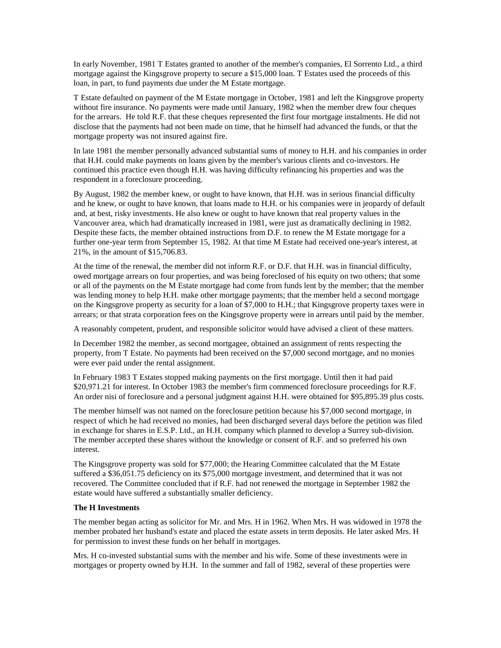In early November, 1981 T Estates granted to another of the member's companies, El Sorrento Ltd., a third mortgage against the Kingsgrove property to secure a \$15,000 loan. T Estates used the proceeds of this loan, in part, to fund payments due under the M Estate mortgage.

T Estate defaulted on payment of the M Estate mortgage in October, 1981 and left the Kingsgrove property without fire insurance. No payments were made until January, 1982 when the member drew four cheques for the arrears. He told R.F. that these cheques represented the first four mortgage instalments. He did not disclose that the payments had not been made on time, that he himself had advanced the funds, or that the mortgage property was not insured against fire.

In late 1981 the member personally advanced substantial sums of money to H.H. and his companies in order that H.H. could make payments on loans given by the member's various clients and co-investors. He continued this practice even though H.H. was having difficulty refinancing his properties and was the respondent in a foreclosure proceeding.

By August, 1982 the member knew, or ought to have known, that H.H. was in serious financial difficulty and he knew, or ought to have known, that loans made to H.H. or his companies were in jeopardy of default and, at best, risky investments. He also knew or ought to have known that real property values in the Vancouver area, which had dramatically increased in 1981, were just as dramatically declining in 1982. Despite these facts, the member obtained instructions from D.F. to renew the M Estate mortgage for a further one-year term from September 15, 1982. At that time M Estate had received one-year's interest, at 21%, in the amount of \$15,706.83.

At the time of the renewal, the member did not inform R.F. or D.F. that H.H. was in financial difficulty, owed mortgage arrears on four properties, and was being foreclosed of his equity on two others; that some or all of the payments on the M Estate mortgage had come from funds lent by the member; that the member was lending money to help H.H. make other mortgage payments; that the member held a second mortgage on the Kingsgrove property as security for a loan of \$7,000 to H.H.; that Kingsgrove property taxes were in arrears; or that strata corporation fees on the Kingsgrove property were in arrears until paid by the member.

A reasonably competent, prudent, and responsible solicitor would have advised a client of these matters.

In December 1982 the member, as second mortgagee, obtained an assignment of rents respecting the property, from T Estate. No payments had been received on the \$7,000 second mortgage, and no monies were ever paid under the rental assignment.

In February 1983 T Estates stopped making payments on the first mortgage. Until then it had paid \$20,971.21 for interest. In October 1983 the member's firm commenced foreclosure proceedings for R.F. An order nisi of foreclosure and a personal judgment against H.H. were obtained for \$95,895.39 plus costs.

The member himself was not named on the foreclosure petition because his \$7,000 second mortgage, in respect of which he had received no monies, had been discharged several days before the petition was filed in exchange for shares in E.S.P. Ltd., an H.H. company which planned to develop a Surrey sub-division. The member accepted these shares without the knowledge or consent of R.F. and so preferred his own interest.

The Kingsgrove property was sold for \$77,000; the Hearing Committee calculated that the M Estate suffered a \$36,051.75 deficiency on its \$75,000 mortgage investment, and determined that it was not recovered. The Committee concluded that if R.F. had not renewed the mortgage in September 1982 the estate would have suffered a substantially smaller deficiency.

## **The H Investments**

The member began acting as solicitor for Mr. and Mrs. H in 1962. When Mrs. H was widowed in 1978 the member probated her husband's estate and placed the estate assets in term deposits. He later asked Mrs. H for permission to invest these funds on her behalf in mortgages.

Mrs. H co-invested substantial sums with the member and his wife. Some of these investments were in mortgages or property owned by H.H. In the summer and fall of 1982, several of these properties were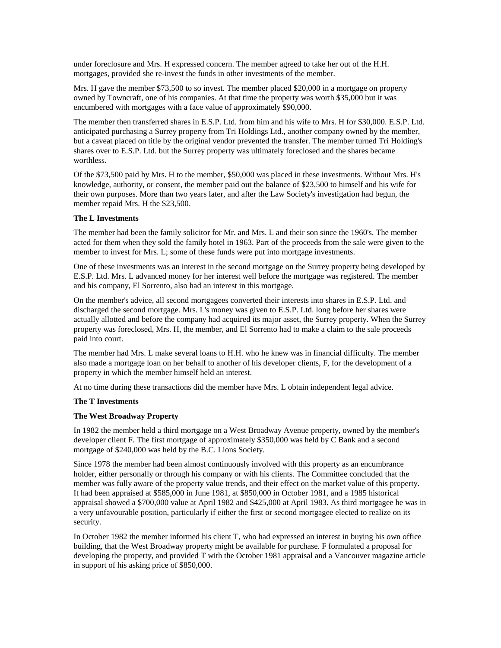under foreclosure and Mrs. H expressed concern. The member agreed to take her out of the H.H. mortgages, provided she re-invest the funds in other investments of the member.

Mrs. H gave the member \$73,500 to so invest. The member placed \$20,000 in a mortgage on property owned by Towncraft, one of his companies. At that time the property was worth \$35,000 but it was encumbered with mortgages with a face value of approximately \$90,000.

The member then transferred shares in E.S.P. Ltd. from him and his wife to Mrs. H for \$30,000. E.S.P. Ltd. anticipated purchasing a Surrey property from Tri Holdings Ltd., another company owned by the member, but a caveat placed on title by the original vendor prevented the transfer. The member turned Tri Holding's shares over to E.S.P. Ltd. but the Surrey property was ultimately foreclosed and the shares became worthless.

Of the \$73,500 paid by Mrs. H to the member, \$50,000 was placed in these investments. Without Mrs. H's knowledge, authority, or consent, the member paid out the balance of \$23,500 to himself and his wife for their own purposes. More than two years later, and after the Law Society's investigation had begun, the member repaid Mrs. H the \$23,500.

## **The L Investments**

The member had been the family solicitor for Mr. and Mrs. L and their son since the 1960's. The member acted for them when they sold the family hotel in 1963. Part of the proceeds from the sale were given to the member to invest for Mrs. L; some of these funds were put into mortgage investments.

One of these investments was an interest in the second mortgage on the Surrey property being developed by E.S.P. Ltd. Mrs. L advanced money for her interest well before the mortgage was registered. The member and his company, El Sorrento, also had an interest in this mortgage.

On the member's advice, all second mortgagees converted their interests into shares in E.S.P. Ltd. and discharged the second mortgage. Mrs. L's money was given to E.S.P. Ltd. long before her shares were actually allotted and before the company had acquired its major asset, the Surrey property. When the Surrey property was foreclosed, Mrs. H, the member, and El Sorrento had to make a claim to the sale proceeds paid into court.

The member had Mrs. L make several loans to H.H. who he knew was in financial difficulty. The member also made a mortgage loan on her behalf to another of his developer clients, F, for the development of a property in which the member himself held an interest.

At no time during these transactions did the member have Mrs. L obtain independent legal advice.

### **The T Investments**

### **The West Broadway Property**

In 1982 the member held a third mortgage on a West Broadway Avenue property, owned by the member's developer client F. The first mortgage of approximately \$350,000 was held by C Bank and a second mortgage of \$240,000 was held by the B.C. Lions Society.

Since 1978 the member had been almost continuously involved with this property as an encumbrance holder, either personally or through his company or with his clients. The Committee concluded that the member was fully aware of the property value trends, and their effect on the market value of this property. It had been appraised at \$585,000 in June 1981, at \$850,000 in October 1981, and a 1985 historical appraisal showed a \$700,000 value at April 1982 and \$425,000 at April 1983. As third mortgagee he was in a very unfavourable position, particularly if either the first or second mortgagee elected to realize on its security.

In October 1982 the member informed his client T, who had expressed an interest in buying his own office building, that the West Broadway property might be available for purchase. F formulated a proposal for developing the property, and provided T with the October 1981 appraisal and a Vancouver magazine article in support of his asking price of \$850,000.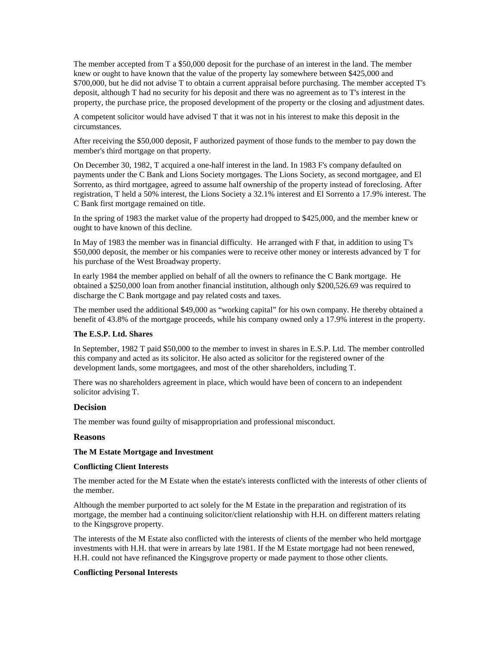The member accepted from T a \$50,000 deposit for the purchase of an interest in the land. The member knew or ought to have known that the value of the property lay somewhere between \$425,000 and \$700,000, but he did not advise T to obtain a current appraisal before purchasing. The member accepted T's deposit, although T had no security for his deposit and there was no agreement as to T's interest in the property, the purchase price, the proposed development of the property or the closing and adjustment dates.

A competent solicitor would have advised T that it was not in his interest to make this deposit in the circumstances.

After receiving the \$50,000 deposit, F authorized payment of those funds to the member to pay down the member's third mortgage on that property.

On December 30, 1982, T acquired a one-half interest in the land. In 1983 F's company defaulted on payments under the C Bank and Lions Society mortgages. The Lions Society, as second mortgagee, and El Sorrento, as third mortgagee, agreed to assume half ownership of the property instead of foreclosing. After registration, T held a 50% interest, the Lions Society a 32.1% interest and El Sorrento a 17.9% interest. The C Bank first mortgage remained on title.

In the spring of 1983 the market value of the property had dropped to \$425,000, and the member knew or ought to have known of this decline.

In May of 1983 the member was in financial difficulty. He arranged with F that, in addition to using T's \$50,000 deposit, the member or his companies were to receive other money or interests advanced by T for his purchase of the West Broadway property.

In early 1984 the member applied on behalf of all the owners to refinance the C Bank mortgage. He obtained a \$250,000 loan from another financial institution, although only \$200,526.69 was required to discharge the C Bank mortgage and pay related costs and taxes.

The member used the additional \$49,000 as "working capital" for his own company. He thereby obtained a benefit of 43.8% of the mortgage proceeds, while his company owned only a 17.9% interest in the property.

### **The E.S.P. Ltd. Shares**

In September, 1982 T paid \$50,000 to the member to invest in shares in E.S.P. Ltd. The member controlled this company and acted as its solicitor. He also acted as solicitor for the registered owner of the development lands, some mortgagees, and most of the other shareholders, including T.

There was no shareholders agreement in place, which would have been of concern to an independent solicitor advising T.

## **Decision**

The member was found guilty of misappropriation and professional misconduct.

### **Reasons**

#### **The M Estate Mortgage and Investment**

#### **Conflicting Client Interests**

The member acted for the M Estate when the estate's interests conflicted with the interests of other clients of the member.

Although the member purported to act solely for the M Estate in the preparation and registration of its mortgage, the member had a continuing solicitor/client relationship with H.H. on different matters relating to the Kingsgrove property.

The interests of the M Estate also conflicted with the interests of clients of the member who held mortgage investments with H.H. that were in arrears by late 1981. If the M Estate mortgage had not been renewed, H.H. could not have refinanced the Kingsgrove property or made payment to those other clients.

#### **Conflicting Personal Interests**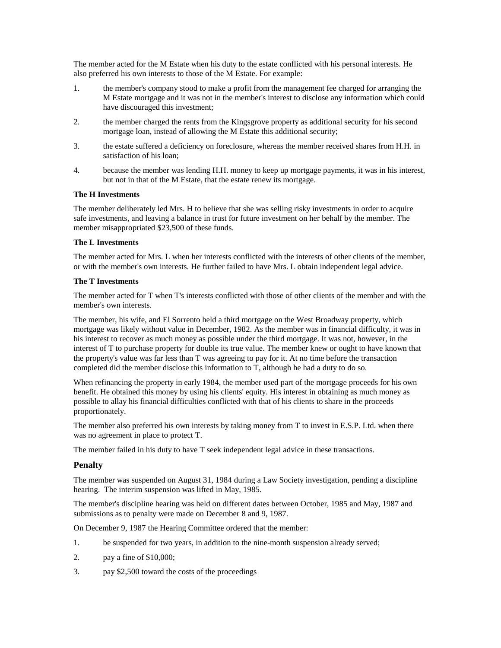The member acted for the M Estate when his duty to the estate conflicted with his personal interests. He also preferred his own interests to those of the M Estate. For example:

- 1. the member's company stood to make a profit from the management fee charged for arranging the M Estate mortgage and it was not in the member's interest to disclose any information which could have discouraged this investment;
- 2. the member charged the rents from the Kingsgrove property as additional security for his second mortgage loan, instead of allowing the M Estate this additional security;
- 3. the estate suffered a deficiency on foreclosure, whereas the member received shares from H.H. in satisfaction of his loan;
- 4. because the member was lending H.H. money to keep up mortgage payments, it was in his interest, but not in that of the M Estate, that the estate renew its mortgage.

## **The H Investments**

The member deliberately led Mrs. H to believe that she was selling risky investments in order to acquire safe investments, and leaving a balance in trust for future investment on her behalf by the member. The member misappropriated \$23,500 of these funds.

## **The L Investments**

The member acted for Mrs. L when her interests conflicted with the interests of other clients of the member, or with the member's own interests. He further failed to have Mrs. L obtain independent legal advice.

## **The T Investments**

The member acted for T when T's interests conflicted with those of other clients of the member and with the member's own interests.

The member, his wife, and El Sorrento held a third mortgage on the West Broadway property, which mortgage was likely without value in December, 1982. As the member was in financial difficulty, it was in his interest to recover as much money as possible under the third mortgage. It was not, however, in the interest of T to purchase property for double its true value. The member knew or ought to have known that the property's value was far less than T was agreeing to pay for it. At no time before the transaction completed did the member disclose this information to T, although he had a duty to do so.

When refinancing the property in early 1984, the member used part of the mortgage proceeds for his own benefit. He obtained this money by using his clients' equity. His interest in obtaining as much money as possible to allay his financial difficulties conflicted with that of his clients to share in the proceeds proportionately.

The member also preferred his own interests by taking money from T to invest in E.S.P. Ltd. when there was no agreement in place to protect T.

The member failed in his duty to have T seek independent legal advice in these transactions.

# **Penalty**

The member was suspended on August 31, 1984 during a Law Society investigation, pending a discipline hearing. The interim suspension was lifted in May, 1985.

The member's discipline hearing was held on different dates between October, 1985 and May, 1987 and submissions as to penalty were made on December 8 and 9, 1987.

On December 9, 1987 the Hearing Committee ordered that the member:

- 1. be suspended for two years, in addition to the nine-month suspension already served;
- 2. pay a fine of \$10,000;
- 3. pay \$2,500 toward the costs of the proceedings